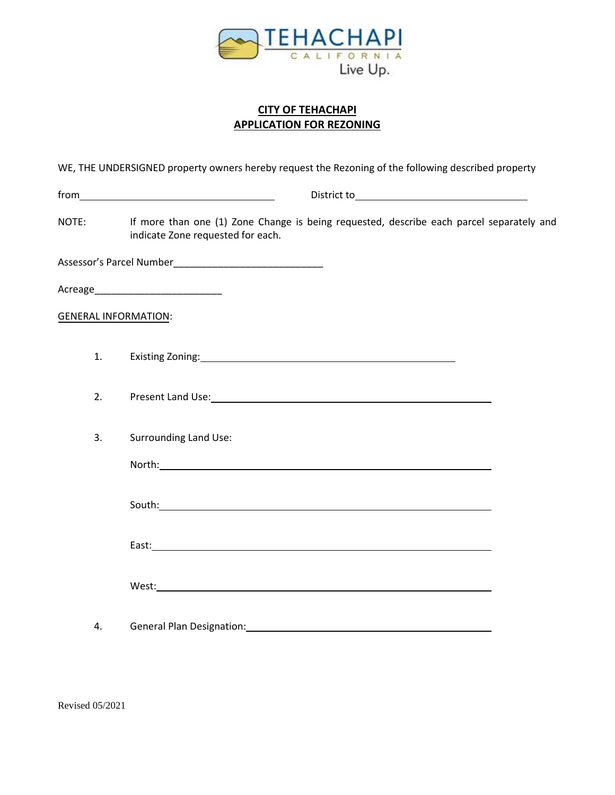

## **CITY OF TEHACHAPI APPLICATION FOR REZONING**

WE, THE UNDERSIGNED property owners hereby request the Rezoning of the following described property

| NOTE:                       | If more than one (1) Zone Change is being requested, describe each parcel separately and<br>indicate Zone requested for each.                                                                                                  |  |
|-----------------------------|--------------------------------------------------------------------------------------------------------------------------------------------------------------------------------------------------------------------------------|--|
|                             |                                                                                                                                                                                                                                |  |
|                             |                                                                                                                                                                                                                                |  |
| <b>GENERAL INFORMATION:</b> |                                                                                                                                                                                                                                |  |
| 1.                          |                                                                                                                                                                                                                                |  |
| 2.                          | Present Land Use: Note: Note: Note: Note: Note: Note: Note: Note: Note: Note: Note: Note: Note: Note: Note: Note: Note: Note: Note: Note: Note: Note: Note: Note: Note: Note: Note: Note: Note: Note: Note: Note: Note: Note:  |  |
| 3.                          | <b>Surrounding Land Use:</b>                                                                                                                                                                                                   |  |
|                             |                                                                                                                                                                                                                                |  |
|                             |                                                                                                                                                                                                                                |  |
|                             |                                                                                                                                                                                                                                |  |
|                             |                                                                                                                                                                                                                                |  |
| 4.                          | General Plan Designation: Contract Contract Contract Contract Contract Contract Contract Contract Contract Contract Contract Contract Contract Contract Contract Contract Contract Contract Contract Contract Contract Contrac |  |

Revised 05/2021